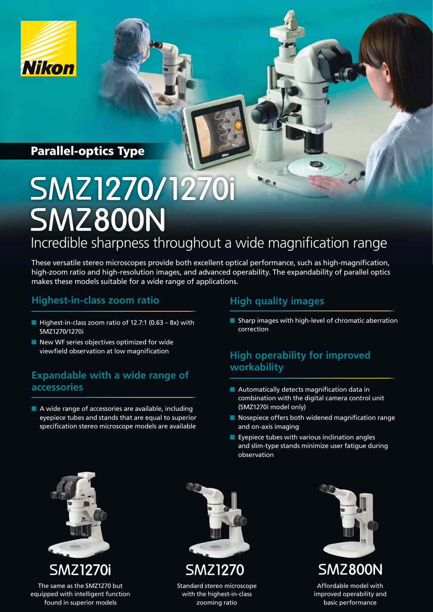

# Parallel-optics Type

# Incredible sharpness throughout a wide magnification range SMZ1270/1270i **SMZ800N**

These versatile stereo microscopes provide both excellent optical performance, such as high-magnification, high-zoom ratio and high-resolution images, and advanced operability. The expandability of parallel optics makes these models suitable for a wide range of applications.

# **Highest-in-class zoom ratio**

- Highest-in-class zoom ratio of 12.7:1  $(0.63 8x)$  with SMZ1270/1270i
- New WF series objectives optimized for wide viewfield observation at low magnification

## **Expandable with a wide range of accessories**

■ A wide range of accessories are available, including eyepiece tubes and stands that are equal to superior specification stereo microscope models are available

#### **High quality images**

■ Sharp images with high-level of chromatic aberration correction

#### **High operability for improved workability**

- $\blacksquare$  Automatically detects magnification data in combination with the digital camera control unit (SMZ1270i model only)
- Nosepiece offers both widened magnification range and on-axis imaging
- Eyepiece tubes with various inclination angles and slim-type stands minimize user fatigue during observation



The same as the SMZ1270 but equipped with intelligent function found in superior models



Standard stereo microscope with the highest-in-class zooming ratio



Affordable model with improved operability and basic performance